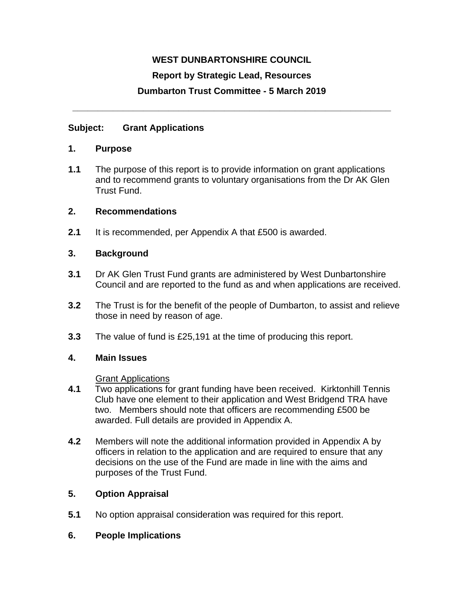# **WEST DUNBARTONSHIRE COUNCIL**

### **Report by Strategic Lead, Resources**

# **Dumbarton Trust Committee - 5 March 2019**

**\_\_\_\_\_\_\_\_\_\_\_\_\_\_\_\_\_\_\_\_\_\_\_\_\_\_\_\_\_\_\_\_\_\_\_\_\_\_\_\_\_\_\_\_\_\_\_\_\_\_\_\_\_\_\_\_\_\_\_\_\_\_\_**

### **Subject: Grant Applications**

#### **1. Purpose**

**1.1** The purpose of this report is to provide information on grant applications and to recommend grants to voluntary organisations from the Dr AK Glen Trust Fund.

### **2. Recommendations**

**2.1** It is recommended, per Appendix A that £500 is awarded.

### **3. Background**

- **3.1** Dr AK Glen Trust Fund grants are administered by West Dunbartonshire Council and are reported to the fund as and when applications are received.
- **3.2** The Trust is for the benefit of the people of Dumbarton, to assist and relieve those in need by reason of age.
- **3.3** The value of fund is £25,191 at the time of producing this report.

#### **4. Main Issues**

#### Grant Applications

- **4.1** Two applications for grant funding have been received. Kirktonhill Tennis Club have one element to their application and West Bridgend TRA have two. Members should note that officers are recommending £500 be awarded. Full details are provided in Appendix A.
- **4.2** Members will note the additional information provided in Appendix A by officers in relation to the application and are required to ensure that any decisions on the use of the Fund are made in line with the aims and purposes of the Trust Fund.

# **5. Option Appraisal**

**5.1** No option appraisal consideration was required for this report.

# **6. People Implications**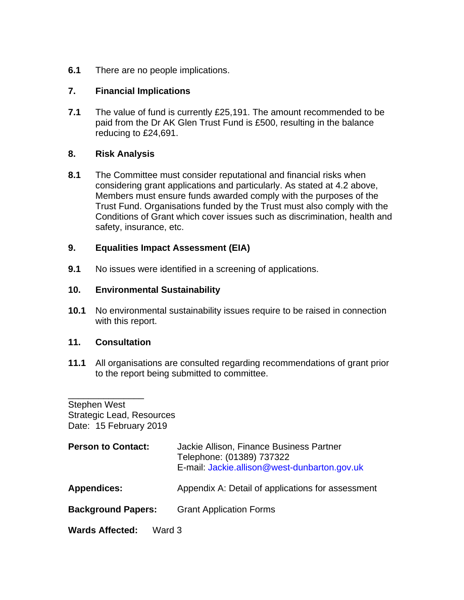**6.1** There are no people implications.

### **7. Financial Implications**

**7.1** The value of fund is currently £25,191. The amount recommended to be paid from the Dr AK Glen Trust Fund is £500, resulting in the balance reducing to £24,691.

### **8. Risk Analysis**

**8.1** The Committee must consider reputational and financial risks when considering grant applications and particularly. As stated at 4.2 above, Members must ensure funds awarded comply with the purposes of the Trust Fund. Organisations funded by the Trust must also comply with the Conditions of Grant which cover issues such as discrimination, health and safety, insurance, etc.

### **9. Equalities Impact Assessment (EIA)**

**9.1** No issues were identified in a screening of applications.

### **10. Environmental Sustainability**

**10.1** No environmental sustainability issues require to be raised in connection with this report.

#### **11. Consultation**

**11.1** All organisations are consulted regarding recommendations of grant prior to the report being submitted to committee.

\_\_\_\_\_\_\_\_\_\_\_\_\_\_\_ Stephen West Strategic Lead, Resources Date: 15 February 2019

| <b>Person to Contact:</b>        | Jackie Allison, Finance Business Partner<br>Telephone: (01389) 737322<br>E-mail: Jackie.allison@west-dunbarton.gov.uk |  |  |
|----------------------------------|-----------------------------------------------------------------------------------------------------------------------|--|--|
| <b>Appendices:</b>               | Appendix A: Detail of applications for assessment                                                                     |  |  |
| <b>Background Papers:</b>        | <b>Grant Application Forms</b>                                                                                        |  |  |
| <b>Wards Affected:</b><br>Ward 3 |                                                                                                                       |  |  |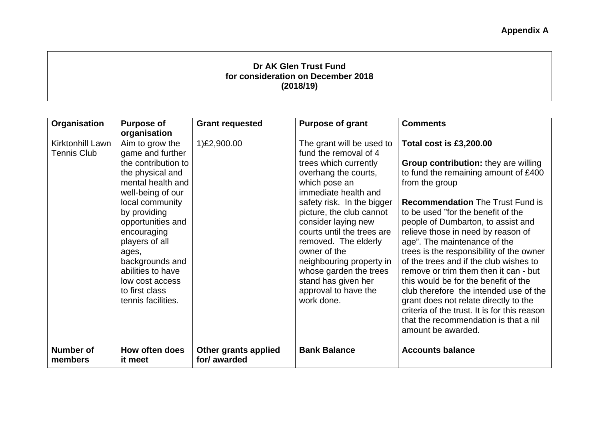# **Dr AK Glen Trust Fund for consideration on December 2018 (2018/19)**

| Organisation                | <b>Purpose of</b>         | <b>Grant requested</b>               | <b>Purpose of grant</b>    | <b>Comments</b>                              |
|-----------------------------|---------------------------|--------------------------------------|----------------------------|----------------------------------------------|
|                             | organisation              |                                      |                            |                                              |
| Kirktonhill Lawn            | Aim to grow the           | 1)£2,900.00                          | The grant will be used to  | <b>Total cost is £3,200.00</b>               |
| <b>Tennis Club</b>          | game and further          |                                      | fund the removal of 4      |                                              |
|                             | the contribution to       |                                      | trees which currently      | <b>Group contribution: they are willing</b>  |
|                             | the physical and          |                                      | overhang the courts,       | to fund the remaining amount of £400         |
|                             | mental health and         |                                      | which pose an              | from the group                               |
|                             | well-being of our         |                                      | immediate health and       |                                              |
|                             | local community           |                                      | safety risk. In the bigger | <b>Recommendation</b> The Trust Fund is      |
|                             | by providing              |                                      | picture, the club cannot   | to be used "for the benefit of the           |
|                             | opportunities and         |                                      | consider laying new        | people of Dumbarton, to assist and           |
|                             | encouraging               |                                      | courts until the trees are | relieve those in need by reason of           |
|                             | players of all            |                                      | removed. The elderly       | age". The maintenance of the                 |
|                             | ages,                     |                                      | owner of the               | trees is the responsibility of the owner     |
|                             | backgrounds and           |                                      | neighbouring property in   | of the trees and if the club wishes to       |
|                             | abilities to have         |                                      | whose garden the trees     | remove or trim them then it can - but        |
|                             | low cost access           |                                      | stand has given her        | this would be for the benefit of the         |
|                             | to first class            |                                      | approval to have the       | club therefore the intended use of the       |
|                             | tennis facilities.        |                                      | work done.                 | grant does not relate directly to the        |
|                             |                           |                                      |                            | criteria of the trust. It is for this reason |
|                             |                           |                                      |                            | that the recommendation is that a nil        |
|                             |                           |                                      |                            | amount be awarded.                           |
|                             |                           |                                      |                            |                                              |
| <b>Number of</b><br>members | How often does<br>it meet | Other grants applied<br>for/ awarded | <b>Bank Balance</b>        | <b>Accounts balance</b>                      |
|                             |                           |                                      |                            |                                              |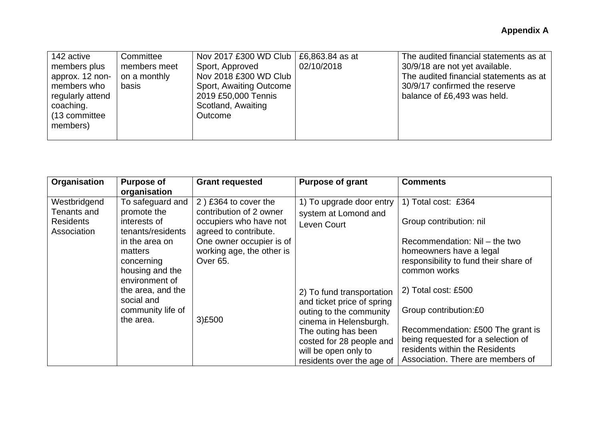| 142 active                                                                                                    | Committee                             | Nov 2017 £300 WD Club   £6,863.84 as at                                                                                     |            | The audited financial statements as at                                                                                                   |
|---------------------------------------------------------------------------------------------------------------|---------------------------------------|-----------------------------------------------------------------------------------------------------------------------------|------------|------------------------------------------------------------------------------------------------------------------------------------------|
| members plus<br>approx. 12 non-<br>members who<br>regularly attend<br>coaching.<br>(13 committee)<br>members) | members meet<br>on a monthly<br>basis | Sport, Approved<br>Nov 2018 £300 WD Club<br>Sport, Awaiting Outcome<br>2019 £50,000 Tennis<br>Scotland, Awaiting<br>Outcome | 02/10/2018 | 30/9/18 are not yet available.<br>The audited financial statements as at<br>30/9/17 confirmed the reserve<br>balance of £6,493 was held. |
|                                                                                                               |                                       |                                                                                                                             |            |                                                                                                                                          |

| Organisation                                                                                                                                                                                                                                                                                | <b>Purpose of</b><br>organisation                                                                                                                                       | <b>Grant requested</b>                                                                                                                                                                                               | <b>Purpose of grant</b>                                                                                                                                                                        | <b>Comments</b> |
|---------------------------------------------------------------------------------------------------------------------------------------------------------------------------------------------------------------------------------------------------------------------------------------------|-------------------------------------------------------------------------------------------------------------------------------------------------------------------------|----------------------------------------------------------------------------------------------------------------------------------------------------------------------------------------------------------------------|------------------------------------------------------------------------------------------------------------------------------------------------------------------------------------------------|-----------------|
| To safeguard and<br>Westbridgend<br>Tenants and<br>promote the<br><b>Residents</b><br>interests of<br>Association<br>tenants/residents<br>in the area on<br>matters<br>concerning<br>housing and the<br>environment of<br>the area, and the<br>social and<br>community life of<br>the area. | 2) £364 to cover the<br>contribution of 2 owner<br>occupiers who have not<br>agreed to contribute.<br>One owner occupier is of<br>working age, the other is<br>Over 65. | 1) To upgrade door entry<br>system at Lomond and<br>Leven Court                                                                                                                                                      | 1) Total cost: £364<br>Group contribution: nil<br>Recommendation: Nil - the two<br>homeowners have a legal<br>responsibility to fund their share of<br>common works                            |                 |
|                                                                                                                                                                                                                                                                                             | 3)£500                                                                                                                                                                  | 2) To fund transportation<br>and ticket price of spring<br>outing to the community<br>cinema in Helensburgh.<br>The outing has been<br>costed for 28 people and<br>will be open only to<br>residents over the age of | 2) Total cost: £500<br>Group contribution:£0<br>Recommendation: £500 The grant is<br>being requested for a selection of<br>residents within the Residents<br>Association. There are members of |                 |